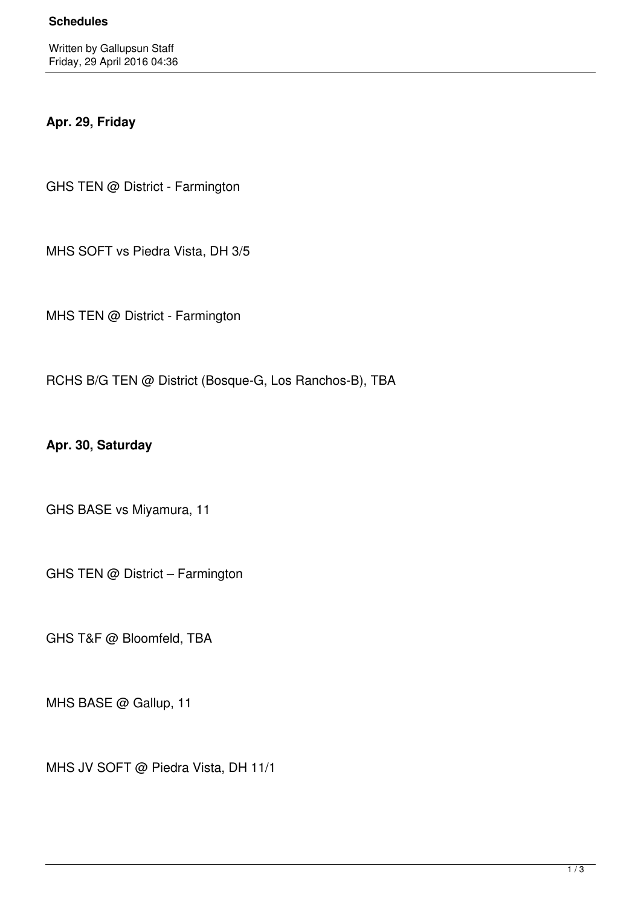## **Apr. 29, Friday**

GHS TEN @ District - Farmington

MHS SOFT vs Piedra Vista, DH 3/5

MHS TEN @ District - Farmington

RCHS B/G TEN @ District (Bosque-G, Los Ranchos-B), TBA

**Apr. 30, Saturday**

GHS BASE vs Miyamura, 11

GHS TEN @ District – Farmington

GHS T&F @ Bloomfeld, TBA

MHS BASE @ Gallup, 11

MHS JV SOFT @ Piedra Vista, DH 11/1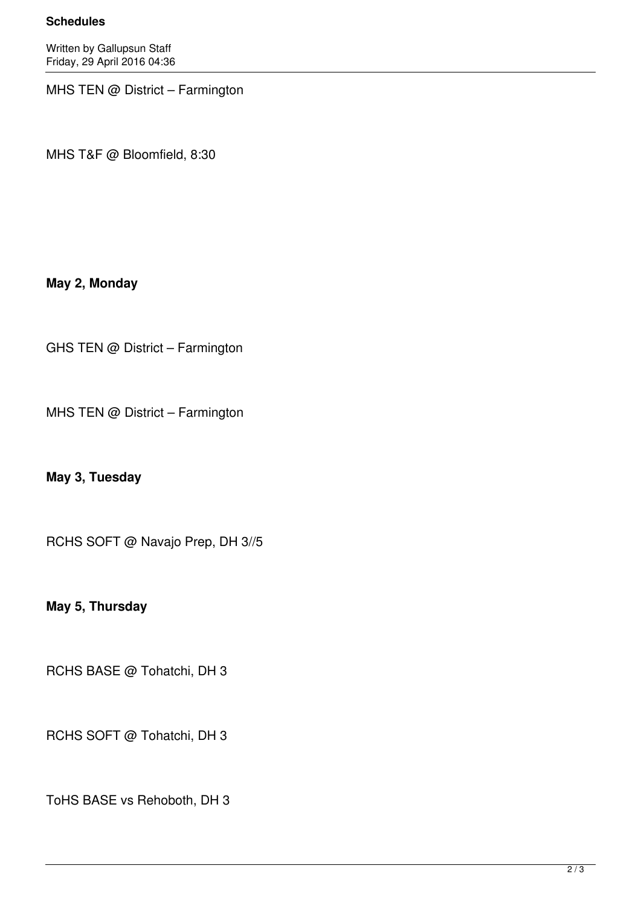## **Schedules**

Written by Gallupsun Staff Friday, 29 April 2016 04:36

MHS TEN @ District – Farmington

MHS T&F @ Bloomfield, 8:30

## **May 2, Monday**

GHS TEN @ District – Farmington

MHS TEN @ District – Farmington

**May 3, Tuesday**

RCHS SOFT @ Navajo Prep, DH 3//5

**May 5, Thursday**

RCHS BASE @ Tohatchi, DH 3

RCHS SOFT @ Tohatchi, DH 3

ToHS BASE vs Rehoboth, DH 3